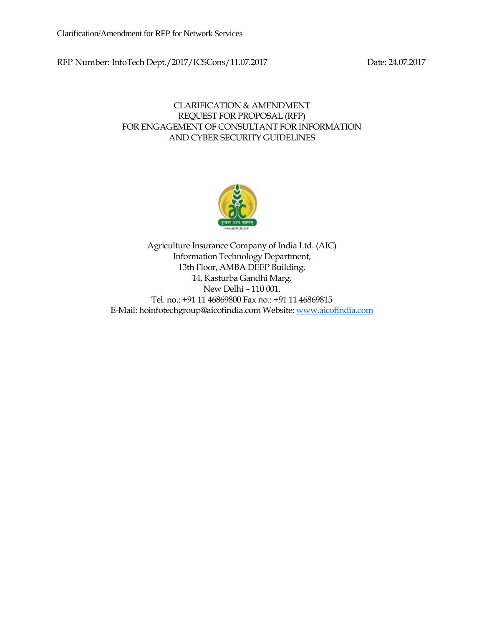RFP Number: InfoTech Dept./2017/ICSCons/11.07.2017 Date: 24.07.2017

#### CLARIFICATION & AMENDMENT REQUEST FOR PROPOSAL (RFP) FOR ENGAGEMENT OF CONSULTANT FOR INFORMATION AND CYBER SECURITY GUIDELINES



Agriculture Insurance Company of India Ltd. (AIC) Information Technology Department, 13th Floor, AMBA DEEP Building, 14, Kasturba Gandhi Marg, New Delhi – 110 001. Tel. no.: +91 11 46869800 Fax no.: +91 11 46869815 E-Mail: hoinfotechgroup@aicofindia.com Website[: www.aicofindia.com](http://www.aicofindia.com/)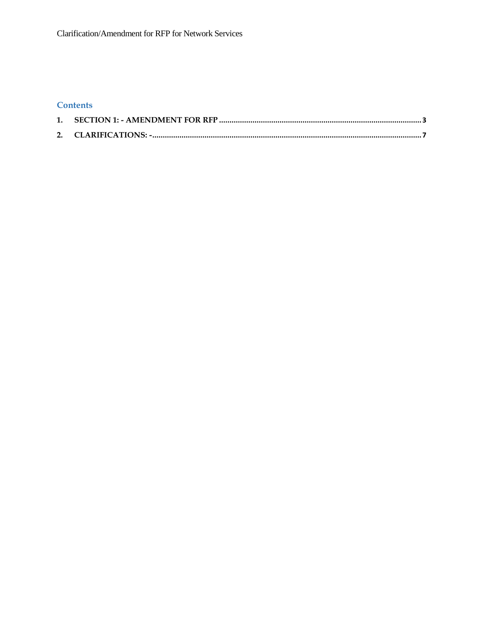# **Contents**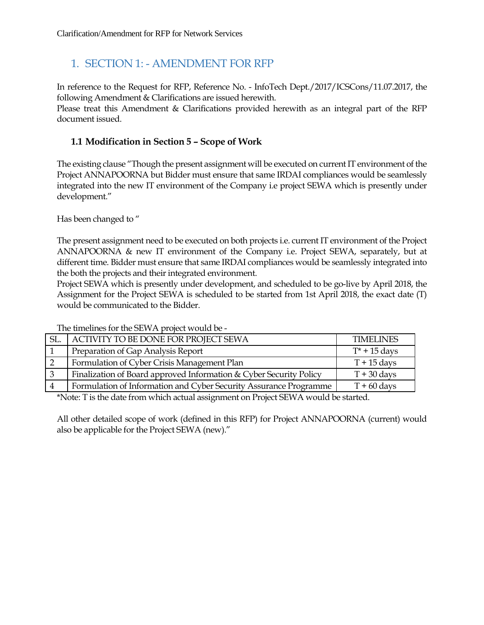# <span id="page-2-0"></span>1. SECTION 1: - AMENDMENT FOR RFP

In reference to the Request for RFP, Reference No. - InfoTech Dept./2017/ICSCons/11.07.2017, the following Amendment & Clarifications are issued herewith.

Please treat this Amendment & Clarifications provided herewith as an integral part of the RFP document issued.

# **1.1 Modification in Section 5 – Scope of Work**

The existing clause "Though the present assignment will be executed on current IT environment of the Project ANNAPOORNA but Bidder must ensure that same IRDAI compliances would be seamlessly integrated into the new IT environment of the Company i.e project SEWA which is presently under development."

Has been changed to "

The present assignment need to be executed on both projects i.e. current IT environment of the Project ANNAPOORNA & new IT environment of the Company i.e. Project SEWA, separately, but at different time. Bidder must ensure that same IRDAI compliances would be seamlessly integrated into the both the projects and their integrated environment.

Project SEWA which is presently under development, and scheduled to be go-live by April 2018, the Assignment for the Project SEWA is scheduled to be started from 1st April 2018, the exact date (T) would be communicated to the Bidder.

| SL. | ACTIVITY TO BE DONE FOR PROJECT SEWA                               | <b>TIMELINES</b>      |
|-----|--------------------------------------------------------------------|-----------------------|
|     | Preparation of Gap Analysis Report                                 | $T^*$ + 15 days       |
|     | Formulation of Cyber Crisis Management Plan                        | $T + 15$ days         |
| 3   | Finalization of Board approved Information & Cyber Security Policy | $T + 30 \text{ days}$ |
|     | Formulation of Information and Cyber Security Assurance Programme  | $T + 60$ days         |

The timelines for the SEWA project would be -

\*Note: T is the date from which actual assignment on Project SEWA would be started.

All other detailed scope of work (defined in this RFP) for Project ANNAPOORNA (current) would also be applicable for the Project SEWA (new)."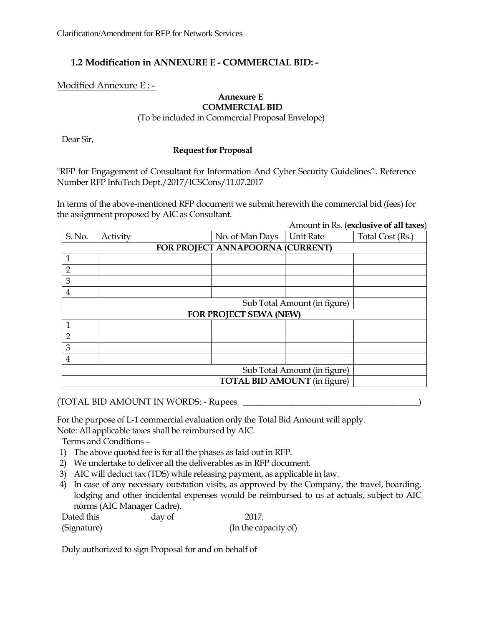# **1.2 Modification in ANNEXURE E - COMMERCIAL BID: -**

Modified Annexure E : -

#### **Annexure E COMMERCIAL BID**

(To be included in Commercial Proposal Envelope)

Dear Sir,

#### **Request for Proposal**

"RFP for Engagement of Consultant for Information And Cyber Security Guidelines". Reference Number RFP InfoTech Dept./2017/ICSCons/11.07.2017

In terms of the above-mentioned RFP document we submit herewith the commercial bid (fees) for the assignment proposed by AIC as Consultant.

Amount in Rs. (**exclusive of all taxes**)

| S. No.                           | Activity                            | No. of Man Days        | <b>Unit Rate</b> | Total Cost (Rs.) |  |  |  |
|----------------------------------|-------------------------------------|------------------------|------------------|------------------|--|--|--|
| FOR PROJECT ANNAPOORNA (CURRENT) |                                     |                        |                  |                  |  |  |  |
| 1                                |                                     |                        |                  |                  |  |  |  |
| $\overline{2}$                   |                                     |                        |                  |                  |  |  |  |
| 3                                |                                     |                        |                  |                  |  |  |  |
| 4                                |                                     |                        |                  |                  |  |  |  |
|                                  | Sub Total Amount (in figure)        |                        |                  |                  |  |  |  |
|                                  |                                     | FOR PROJECT SEWA (NEW) |                  |                  |  |  |  |
| 1                                |                                     |                        |                  |                  |  |  |  |
| $\overline{2}$                   |                                     |                        |                  |                  |  |  |  |
| 3                                |                                     |                        |                  |                  |  |  |  |
| 4                                |                                     |                        |                  |                  |  |  |  |
|                                  | Sub Total Amount (in figure)        |                        |                  |                  |  |  |  |
|                                  | <b>TOTAL BID AMOUNT</b> (in figure) |                        |                  |                  |  |  |  |

(TOTAL BID AMOUNT IN WORDS: - Rupees \_\_\_\_\_\_\_\_\_\_\_\_\_\_\_\_\_\_\_\_\_\_\_\_\_\_\_\_\_\_\_\_\_\_\_\_\_\_\_\_)

For the purpose of L-1 commercial evaluation only the Total Bid Amount will apply. Note: All applicable taxes shall be reimbursed by AIC.

Terms and Conditions –

- 1) The above quoted fee is for all the phases as laid out in RFP.
- 2) We undertake to deliver all the deliverables as in RFP document.
- 3) AIC will deduct tax (TDS) while releasing payment, as applicable in law.
- 4) In case of any necessary outstation visits, as approved by the Company, the travel, boarding, lodging and other incidental expenses would be reimbursed to us at actuals, subject to AIC norms (AIC Manager Cadre).

Dated this day of 2017. (Signature) (In the capacity of)

Duly authorized to sign Proposal for and on behalf of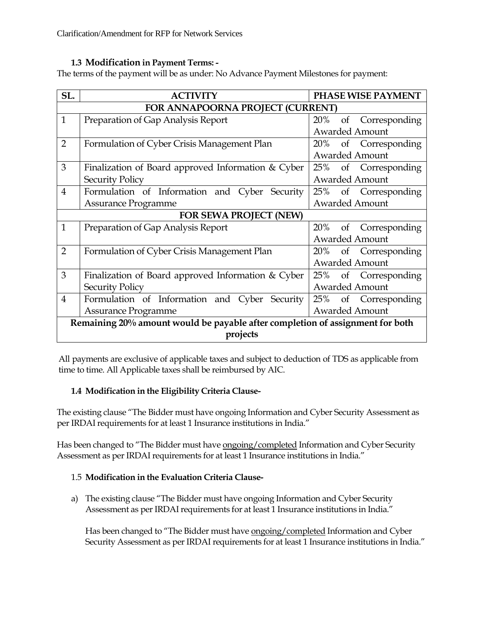#### **1.3 Modification in Payment Terms: -**

The terms of the payment will be as under: No Advance Payment Milestones for payment:

| SL.                                          | <b>ACTIVITY</b>                                                               | <b>PHASE WISE PAYMENT</b> |  |  |  |  |
|----------------------------------------------|-------------------------------------------------------------------------------|---------------------------|--|--|--|--|
|                                              | FOR ANNAPOORNA PROJECT (CURRENT)                                              |                           |  |  |  |  |
| $\mathbf{1}$                                 | Preparation of Gap Analysis Report                                            | 20%<br>of Corresponding   |  |  |  |  |
|                                              |                                                                               | <b>Awarded Amount</b>     |  |  |  |  |
| $\overline{2}$                               | Formulation of Cyber Crisis Management Plan                                   | of Corresponding<br>20%   |  |  |  |  |
|                                              |                                                                               | <b>Awarded Amount</b>     |  |  |  |  |
| 3                                            | Finalization of Board approved Information $& \text{Cyber}$                   | of Corresponding<br>25%   |  |  |  |  |
|                                              | <b>Security Policy</b>                                                        | <b>Awarded Amount</b>     |  |  |  |  |
| $\overline{4}$                               | Formulation of Information and Cyber Security                                 | 25% of Corresponding      |  |  |  |  |
| <b>Awarded Amount</b><br>Assurance Programme |                                                                               |                           |  |  |  |  |
|                                              | <b>FOR SEWA PROJECT (NEW)</b>                                                 |                           |  |  |  |  |
| $\mathbf{1}$                                 | Preparation of Gap Analysis Report                                            | 20%<br>of Corresponding   |  |  |  |  |
|                                              |                                                                               | <b>Awarded Amount</b>     |  |  |  |  |
| $\overline{2}$                               | Formulation of Cyber Crisis Management Plan                                   | of Corresponding<br>20%   |  |  |  |  |
|                                              |                                                                               | <b>Awarded Amount</b>     |  |  |  |  |
| 3                                            | Finalization of Board approved Information & Cyber                            | 25%<br>of Corresponding   |  |  |  |  |
|                                              | <b>Security Policy</b>                                                        | <b>Awarded Amount</b>     |  |  |  |  |
| $\overline{4}$                               | Formulation of Information and Cyber Security                                 | of Corresponding<br>25%   |  |  |  |  |
|                                              | <b>Awarded Amount</b><br>Assurance Programme                                  |                           |  |  |  |  |
|                                              | Remaining 20% amount would be payable after completion of assignment for both |                           |  |  |  |  |
|                                              | projects                                                                      |                           |  |  |  |  |

All payments are exclusive of applicable taxes and subject to deduction of TDS as applicable from time to time. All Applicable taxes shall be reimbursed by AIC.

### **1.4 Modification in the Eligibility Criteria Clause-**

The existing clause "The Bidder must have ongoing Information and Cyber Security Assessment as per IRDAI requirements for at least 1 Insurance institutions in India."

Has been changed to "The Bidder must have ongoing/completed Information and Cyber Security Assessment as per IRDAI requirements for at least 1 Insurance institutions in India."

#### 1.5 **Modification in the Evaluation Criteria Clause-**

a) The existing clause "The Bidder must have ongoing Information and Cyber Security Assessment as per IRDAI requirements for at least 1 Insurance institutions in India."

Has been changed to "The Bidder must have ongoing/completed Information and Cyber Security Assessment as per IRDAI requirements for at least 1 Insurance institutions in India."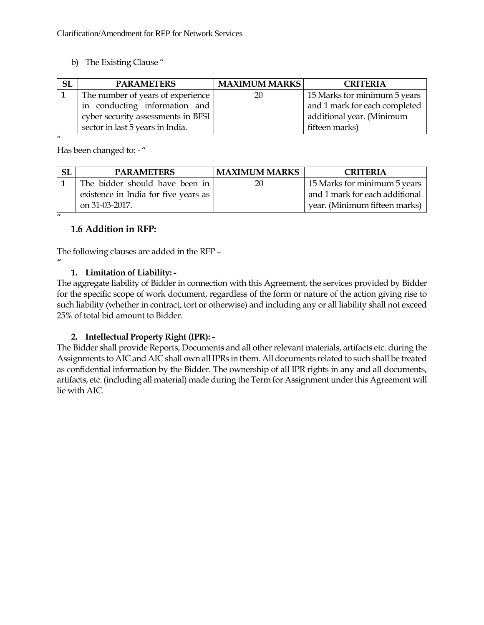b) The Existing Clause "

| <b>SL</b> | <b>PARAMETERS</b>                  | <b>MAXIMUM MARKS</b> | <b>CRITERIA</b>               |
|-----------|------------------------------------|----------------------|-------------------------------|
|           | The number of years of experience  | 20                   | 15 Marks for minimum 5 years  |
|           | in conducting information and      |                      | and 1 mark for each completed |
|           | cyber security assessments in BFSI |                      | additional year. (Minimum     |
|           | sector in last 5 years in India.   |                      | fifteen marks)                |
|           |                                    |                      |                               |

Has been changed to: - "

| <b>SL</b> | <b>PARAMETERS</b>                    | <b>MAXIMUM MARKS</b> | <b>CRITERIA</b>                |
|-----------|--------------------------------------|----------------------|--------------------------------|
|           | The bidder should have been in       | 20                   | 15 Marks for minimum 5 years   |
|           | existence in India for five years as |                      | and 1 mark for each additional |
|           | on 31-03-2017.                       |                      | year. (Minimum fifteen marks)  |
|           |                                      |                      |                                |

### **1.6 Addition in RFP:**

**"**

The following clauses are added in the RFP –

#### **1. Limitation of Liability: -**

The aggregate liability of Bidder in connection with this Agreement, the services provided by Bidder for the specific scope of work document, regardless of the form or nature of the action giving rise to such liability (whether in contract, tort or otherwise) and including any or all liability shall not exceed 25% of total bid amount to Bidder.

#### **2. Intellectual Property Right (IPR): -**

The Bidder shall provide Reports, Documents and all other relevant materials, artifacts etc. during the Assignments to AIC and AIC shall own all IPRs in them. All documents related to such shall be treated as confidential information by the Bidder. The ownership of all IPR rights in any and all documents, artifacts, etc. (including all material) made during the Term for Assignment under this Agreement will lie with AIC.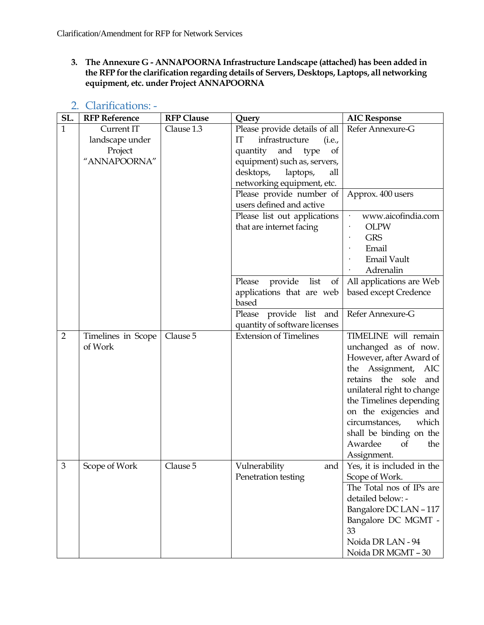**3. The Annexure G - ANNAPOORNA Infrastructure Landscape (attached) has been added in the RFP for the clarification regarding details of Servers, Desktops, Laptops, all networking equipment, etc. under Project ANNAPOORNA**

<span id="page-6-0"></span>

| SL.            | <b>RFP Reference</b> | <b>RFP Clause</b> | Query                                              | <b>AIC Response</b>                           |
|----------------|----------------------|-------------------|----------------------------------------------------|-----------------------------------------------|
| $\mathbf{1}$   | Current IT           | Clause 1.3        | Please provide details of all                      | Refer Annexure-G                              |
|                | landscape under      |                   | $\mathop{\mathrm{IT}}$<br>infrastructure<br>(i.e., |                                               |
|                | Project              |                   | and<br>quantity<br>type<br>of                      |                                               |
|                | "ANNAPOORNA"         |                   | equipment) such as, servers,                       |                                               |
|                |                      |                   | desktops,<br>laptops,<br>all                       |                                               |
|                |                      |                   | networking equipment, etc.                         |                                               |
|                |                      |                   | Please provide number of                           | Approx. 400 users                             |
|                |                      |                   | users defined and active                           |                                               |
|                |                      |                   | Please list out applications                       | www.aicofindia.com                            |
|                |                      |                   | that are internet facing                           | <b>OLPW</b>                                   |
|                |                      |                   |                                                    | <b>GRS</b>                                    |
|                |                      |                   |                                                    | Email                                         |
|                |                      |                   |                                                    | <b>Email Vault</b>                            |
|                |                      |                   |                                                    | Adrenalin                                     |
|                |                      |                   | provide list<br>Please<br>of                       | All applications are Web                      |
|                |                      |                   | applications that are web                          | based except Credence                         |
|                |                      |                   | based                                              |                                               |
|                |                      |                   | Please provide list and                            | Refer Annexure-G                              |
|                |                      |                   | quantity of software licenses                      |                                               |
| $\overline{2}$ | Timelines in Scope   | Clause 5          | <b>Extension of Timelines</b>                      | TIMELINE will remain                          |
|                | of Work              |                   |                                                    | unchanged as of now.                          |
|                |                      |                   |                                                    | However, after Award of                       |
|                |                      |                   |                                                    | the Assignment,<br>AIC                        |
|                |                      |                   |                                                    | retains the sole<br>and                       |
|                |                      |                   |                                                    | unilateral right to change                    |
|                |                      |                   |                                                    | the Timelines depending                       |
|                |                      |                   |                                                    | on the exigencies and                         |
|                |                      |                   |                                                    | circumstances,<br>which                       |
|                |                      |                   |                                                    | shall be binding on the                       |
|                |                      |                   |                                                    | Awardee<br><sub>of</sub><br>the               |
| $\mathfrak 3$  |                      |                   |                                                    | Assignment.                                   |
|                | Scope of Work        | Clause 5          | Vulnerability<br>and<br>Penetration testing        | Yes, it is included in the                    |
|                |                      |                   |                                                    | Scope of Work.                                |
|                |                      |                   |                                                    | The Total nos of IPs are<br>detailed below: - |
|                |                      |                   |                                                    | Bangalore DC LAN - 117                        |
|                |                      |                   |                                                    | Bangalore DC MGMT -                           |
|                |                      |                   |                                                    |                                               |
|                |                      |                   |                                                    |                                               |
|                |                      |                   |                                                    |                                               |
|                |                      |                   |                                                    | 33<br>Noida DR LAN - 94<br>Noida DR MGMT - 30 |

# 2. Clarifications: -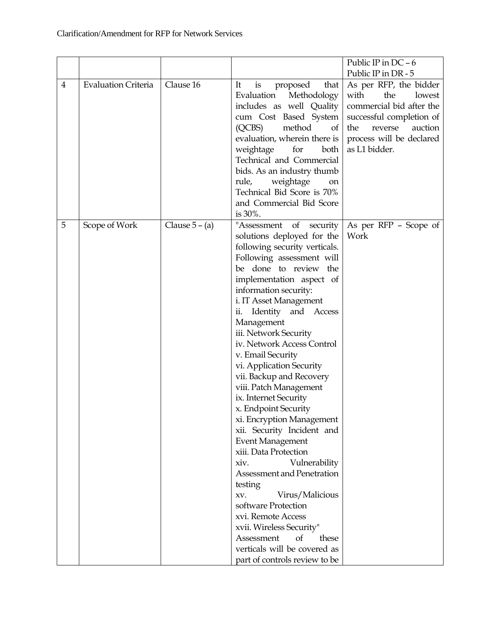|                |                            |                  |                                                        | Public IP in $DC - 6$                     |
|----------------|----------------------------|------------------|--------------------------------------------------------|-------------------------------------------|
|                |                            |                  |                                                        | Public IP in DR - 5                       |
| $\overline{4}$ | <b>Evaluation Criteria</b> | Clause 16        | is<br>It<br>proposed<br>that                           | As per RFP, the bidder                    |
|                |                            |                  | Evaluation<br>Methodology                              | with<br>the<br>lowest                     |
|                |                            |                  | includes as well Quality                               | commercial bid after the                  |
|                |                            |                  | cum Cost Based System                                  | successful completion of                  |
|                |                            |                  | (QCBS)<br>method<br>of<br>evaluation, wherein there is | the<br>reverse<br>auction                 |
|                |                            |                  |                                                        | process will be declared<br>as L1 bidder. |
|                |                            |                  | weightage<br>for<br>both<br>Technical and Commercial   |                                           |
|                |                            |                  | bids. As an industry thumb                             |                                           |
|                |                            |                  | rule,<br>weightage<br>on                               |                                           |
|                |                            |                  | Technical Bid Score is 70%                             |                                           |
|                |                            |                  | and Commercial Bid Score                               |                                           |
|                |                            |                  | is 30%.                                                |                                           |
| 5              | Scope of Work              | Clause $5 - (a)$ | "Assessment of security                                | As per RFP - Scope of                     |
|                |                            |                  | solutions deployed for the                             | Work                                      |
|                |                            |                  | following security verticals.                          |                                           |
|                |                            |                  | Following assessment will                              |                                           |
|                |                            |                  | be done to review the                                  |                                           |
|                |                            |                  | implementation aspect of                               |                                           |
|                |                            |                  | information security:                                  |                                           |
|                |                            |                  | i. IT Asset Management                                 |                                           |
|                |                            |                  | ii. Identity and Access                                |                                           |
|                |                            |                  | Management                                             |                                           |
|                |                            |                  | iii. Network Security                                  |                                           |
|                |                            |                  | iv. Network Access Control                             |                                           |
|                |                            |                  | v. Email Security                                      |                                           |
|                |                            |                  | vi. Application Security                               |                                           |
|                |                            |                  | vii. Backup and Recovery                               |                                           |
|                |                            |                  | viii. Patch Management                                 |                                           |
|                |                            |                  | ix. Internet Security                                  |                                           |
|                |                            |                  | x. Endpoint Security                                   |                                           |
|                |                            |                  | xi. Encryption Management                              |                                           |
|                |                            |                  | xii. Security Incident and                             |                                           |
|                |                            |                  | <b>Event Management</b>                                |                                           |
|                |                            |                  | xiii. Data Protection                                  |                                           |
|                |                            |                  | Vulnerability<br>xiv.                                  |                                           |
|                |                            |                  | Assessment and Penetration                             |                                           |
|                |                            |                  | testing                                                |                                           |
|                |                            |                  | Virus/Malicious<br>XV.                                 |                                           |
|                |                            |                  | software Protection                                    |                                           |
|                |                            |                  | xvi. Remote Access                                     |                                           |
|                |                            |                  | xvii. Wireless Security"                               |                                           |
|                |                            |                  | Assessment<br>of<br>these                              |                                           |
|                |                            |                  | verticals will be covered as                           |                                           |
|                |                            |                  | part of controls review to be                          |                                           |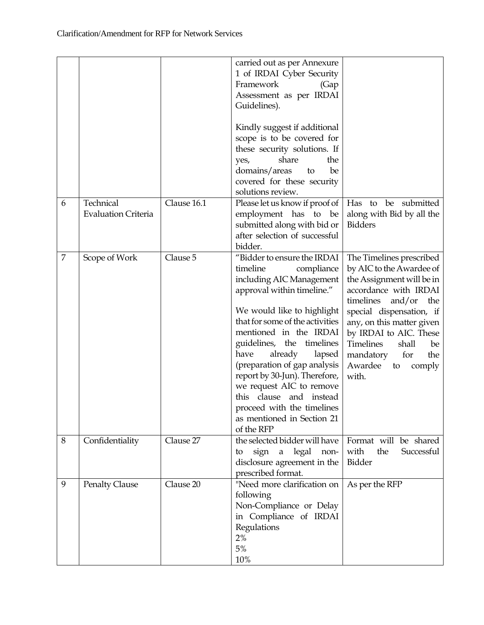|                |                                         |             | carried out as per Annexure<br>1 of IRDAI Cyber Security<br>Framework<br>(Gap<br>Assessment as per IRDAI<br>Guidelines).<br>Kindly suggest if additional<br>scope is to be covered for<br>these security solutions. If<br>share<br>the<br>yes,<br>domains/areas<br>be<br>to<br>covered for these security<br>solutions review.                                                                                                                                            |                                                                                                                                                                                                                                                                                                                               |
|----------------|-----------------------------------------|-------------|---------------------------------------------------------------------------------------------------------------------------------------------------------------------------------------------------------------------------------------------------------------------------------------------------------------------------------------------------------------------------------------------------------------------------------------------------------------------------|-------------------------------------------------------------------------------------------------------------------------------------------------------------------------------------------------------------------------------------------------------------------------------------------------------------------------------|
| 6              | Technical<br><b>Evaluation Criteria</b> | Clause 16.1 | Please let us know if proof of<br>employment has to be<br>submitted along with bid or<br>after selection of successful<br>bidder.                                                                                                                                                                                                                                                                                                                                         | Has to be submitted<br>along with Bid by all the<br><b>Bidders</b>                                                                                                                                                                                                                                                            |
| $\overline{7}$ | Scope of Work                           | Clause 5    | "Bidder to ensure the IRDAI<br>timeline<br>compliance<br>including AIC Management<br>approval within timeline."<br>We would like to highlight<br>that for some of the activities<br>mentioned in the IRDAI<br>guidelines, the timelines<br>already<br>have<br>lapsed<br>(preparation of gap analysis<br>report by 30-Jun). Therefore,<br>we request AIC to remove<br>clause and instead<br>this<br>proceed with the timelines<br>as mentioned in Section 21<br>of the RFP | The Timelines prescribed<br>by AIC to the Awardee of<br>the Assignment will be in<br>accordance with IRDAI<br>timelines<br>and/or<br>the<br>special dispensation, if<br>any, on this matter given<br>by IRDAI to AIC. These<br><b>Timelines</b><br>shall<br>be<br>mandatory<br>for<br>the<br>Awardee<br>comply<br>to<br>with. |
| 8              | Confidentiality                         | Clause 27   | the selected bidder will have<br>sign a legal non-<br>to<br>disclosure agreement in the<br>prescribed format.                                                                                                                                                                                                                                                                                                                                                             | Format will be shared<br>with<br>the<br>Successful<br>Bidder                                                                                                                                                                                                                                                                  |
| 9              | <b>Penalty Clause</b>                   | Clause 20   | "Need more clarification on<br>following<br>Non-Compliance or Delay<br>in Compliance of IRDAI<br>Regulations<br>2%<br>5%<br>10%                                                                                                                                                                                                                                                                                                                                           | As per the RFP                                                                                                                                                                                                                                                                                                                |